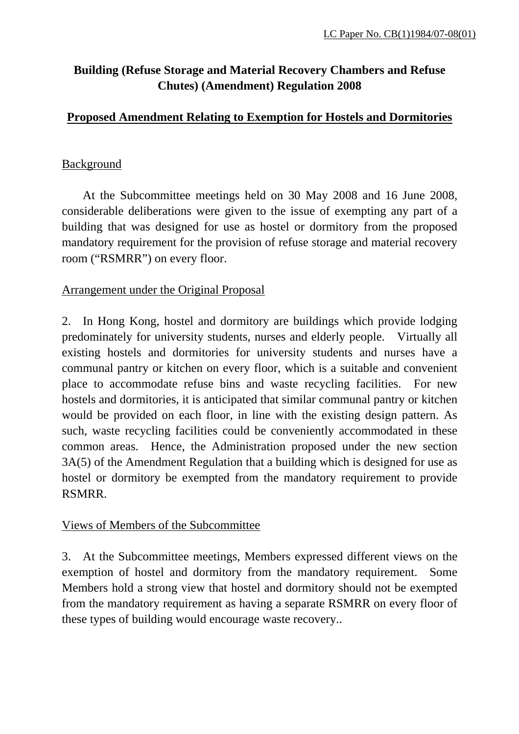# **Building (Refuse Storage and Material Recovery Chambers and Refuse Chutes) (Amendment) Regulation 2008**

### **Proposed Amendment Relating to Exemption for Hostels and Dormitories**

## Background

At the Subcommittee meetings held on 30 May 2008 and 16 June 2008, considerable deliberations were given to the issue of exempting any part of a building that was designed for use as hostel or dormitory from the proposed mandatory requirement for the provision of refuse storage and material recovery room ("RSMRR") on every floor.

# Arrangement under the Original Proposal

2. In Hong Kong, hostel and dormitory are buildings which provide lodging predominately for university students, nurses and elderly people. Virtually all existing hostels and dormitories for university students and nurses have a communal pantry or kitchen on every floor, which is a suitable and convenient place to accommodate refuse bins and waste recycling facilities. For new hostels and dormitories, it is anticipated that similar communal pantry or kitchen would be provided on each floor, in line with the existing design pattern. As such, waste recycling facilities could be conveniently accommodated in these common areas. Hence, the Administration proposed under the new section 3A(5) of the Amendment Regulation that a building which is designed for use as hostel or dormitory be exempted from the mandatory requirement to provide RSMRR.

### Views of Members of the Subcommittee

3. At the Subcommittee meetings, Members expressed different views on the exemption of hostel and dormitory from the mandatory requirement. Some Members hold a strong view that hostel and dormitory should not be exempted from the mandatory requirement as having a separate RSMRR on every floor of these types of building would encourage waste recovery..